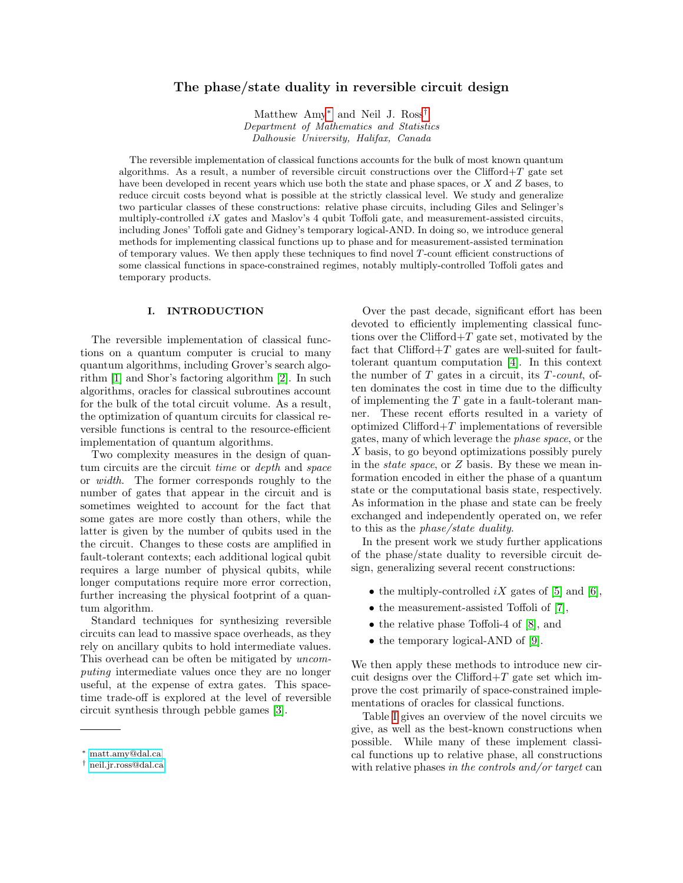# The phase/state duality in reversible circuit design

Matthew Amy[∗](#page-0-0) and Neil J. Ross[†](#page-0-1) Department of Mathematics and Statistics Dalhousie University, Halifax, Canada

The reversible implementation of classical functions accounts for the bulk of most known quantum algorithms. As a result, a number of reversible circuit constructions over the Clifford+T gate set have been developed in recent years which use both the state and phase spaces, or X and Z bases, to reduce circuit costs beyond what is possible at the strictly classical level. We study and generalize two particular classes of these constructions: relative phase circuits, including Giles and Selinger's multiply-controlled  $iX$  gates and Maslov's 4 qubit Toffoli gate, and measurement-assisted circuits, including Jones' Toffoli gate and Gidney's temporary logical-AND. In doing so, we introduce general methods for implementing classical functions up to phase and for measurement-assisted termination of temporary values. We then apply these techniques to find novel  $T$ -count efficient constructions of some classical functions in space-constrained regimes, notably multiply-controlled Toffoli gates and temporary products.

# I. INTRODUCTION

The reversible implementation of classical functions on a quantum computer is crucial to many quantum algorithms, including Grover's search algorithm [\[1\]](#page-11-0) and Shor's factoring algorithm [\[2\]](#page-11-1). In such algorithms, oracles for classical subroutines account for the bulk of the total circuit volume. As a result, the optimization of quantum circuits for classical reversible functions is central to the resource-efficient implementation of quantum algorithms.

Two complexity measures in the design of quantum circuits are the circuit time or depth and space or width. The former corresponds roughly to the number of gates that appear in the circuit and is sometimes weighted to account for the fact that some gates are more costly than others, while the latter is given by the number of qubits used in the the circuit. Changes to these costs are amplified in fault-tolerant contexts; each additional logical qubit requires a large number of physical qubits, while longer computations require more error correction, further increasing the physical footprint of a quantum algorithm.

Standard techniques for synthesizing reversible circuits can lead to massive space overheads, as they rely on ancillary qubits to hold intermediate values. This overhead can be often be mitigated by  $uncom$ puting intermediate values once they are no longer useful, at the expense of extra gates. This spacetime trade-off is explored at the level of reversible circuit synthesis through pebble games [\[3\]](#page-11-2).

Over the past decade, significant effort has been devoted to efficiently implementing classical functions over the Clifford $+T$  gate set, motivated by the fact that  $Clifford+T$  gates are well-suited for faulttolerant quantum computation [\[4\]](#page-11-3). In this context the number of  $T$  gates in a circuit, its  $T$ -count, often dominates the cost in time due to the difficulty of implementing the  $T$  gate in a fault-tolerant manner. These recent efforts resulted in a variety of optimized  $Clifford+T$  implementations of reversible gates, many of which leverage the phase space, or the X basis, to go beyond optimizations possibly purely in the state space, or Z basis. By these we mean information encoded in either the phase of a quantum state or the computational basis state, respectively. As information in the phase and state can be freely exchanged and independently operated on, we refer to this as the phase/state duality.

In the present work we study further applications of the phase/state duality to reversible circuit design, generalizing several recent constructions:

- the multiply-controlled  $iX$  gates of [\[5\]](#page-11-4) and [\[6\]](#page-11-5),
- the measurement-assisted Toffoli of [\[7\]](#page-11-6),
- the relative phase Toffoli-4 of [\[8\]](#page-11-7), and
- the temporary logical-AND of [\[9\]](#page-11-8).

We then apply these methods to introduce new circuit designs over the Clifford $+T$  gate set which improve the cost primarily of space-constrained implementations of oracles for classical functions.

Table [I](#page-1-0) gives an overview of the novel circuits we give, as well as the best-known constructions when possible. While many of these implement classical functions up to relative phase, all constructions with relative phases in the controls and/or target can

<span id="page-0-0"></span><sup>∗</sup> [matt.amy@dal.ca](mailto:matt.amy@dal.ca)

<span id="page-0-1"></span><sup>†</sup> [neil.jr.ross@dal.ca](mailto:neil.jr.ross@dal.ca)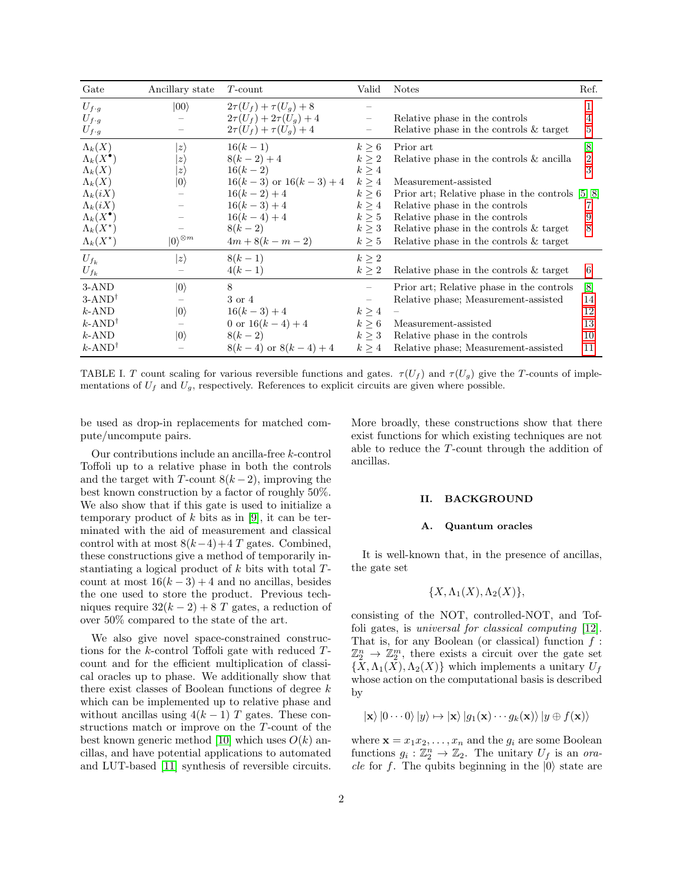| Gate                     | Ancillary state         | $T$ -count                    | Valid                    | <b>Notes</b>                                       | Ref.              |
|--------------------------|-------------------------|-------------------------------|--------------------------|----------------------------------------------------|-------------------|
| $U_{f \cdot g}$          | $ 00\rangle$            | $2\tau(U_f) + \tau(U_q) + 8$  |                          |                                                    |                   |
| $U_{f\cdot g}$           |                         | $2\tau(U_f) + 2\tau(U_q) + 4$ |                          | Relative phase in the controls                     | 4                 |
| $U_{f\cdot g}$           |                         | $2\tau(U_f) + \tau(U_q) + 4$  |                          | Relative phase in the controls $&$ target          | 5                 |
| $\Lambda_k(X)$           | $ z\rangle$             | $16(k-1)$                     | $k\geq 6$                | Prior art                                          | [8]               |
| $\Lambda_k(X^{\bullet})$ | $ z\rangle$             | $8(k-2)+4$                    | $k \geq 2$               | Relative phase in the controls $\&$ ancilla        | $\overline{2}$    |
| $\Lambda_k(X)$           | $ z\rangle$             | $16(k-2)$                     | $k \geq 4$               |                                                    | 3                 |
| $\Lambda_k(X)$           | $ 0\rangle$             | $16(k-3)$ or $16(k-3)+4$      | $k \geq 4$               | Measurement-assisted                               |                   |
| $\Lambda_k(iX)$          |                         | $16(k-2)+4$                   | $k \geq 6$               | Prior art; Relative phase in the controls $[5, 8]$ |                   |
| $\Lambda_k(iX)$          |                         | $16(k-3)+4$                   | k > 4                    | Relative phase in the controls                     |                   |
| $\Lambda_k(X^{\bullet})$ |                         | $16(k-4)+4$                   | $k \geq 5$               | Relative phase in the controls                     |                   |
| $\Lambda_k(X^\star)$     |                         | $8(k-2)$                      | $k \geq 3$               | Relative phase in the controls $\&$ target         | 8                 |
| $\Lambda_k(X^\star)$     | $ 0\rangle^{\otimes m}$ | $4m+8(k-m-2)$                 | k > 5                    | Relative phase in the controls $&$ target          |                   |
| $U_{f_k}$                | $\ket{z}$               | $8(k-1)$                      | $k \geq 2$               |                                                    |                   |
| $U_{f_k}$                |                         | $4(k-1)$                      | $k \geq 2$               | Relative phase in the controls $\&$ target         | 6                 |
| 3-AND                    | $ 0\rangle$             | 8                             |                          | Prior art; Relative phase in the controls          | $\lceil 8 \rceil$ |
| $3-AND^{\dagger}$        |                         | 3 or 4                        | $\overline{\phantom{0}}$ | Relative phase; Measurement-assisted               | 14                |
| $k$ -AND                 | $ 0\rangle$             | $16(k-3)+4$                   | $k \geq 4$               |                                                    | 12                |
| $k$ -AND <sup>†</sup>    |                         | 0 or $16(k-4)+4$              | $k \geq 6$               | Measurement-assisted                               | 13                |
| $k$ -AND                 | $ 0\rangle$             | $8(k-2)$                      | $k \geq 3$               | Relative phase in the controls                     | 10                |
| $k$ -AND <sup>†</sup>    |                         | $8(k-4)$ or $8(k-4)+4$        | k > 4                    | Relative phase; Measurement-assisted               | 11                |

<span id="page-1-0"></span>TABLE I. T count scaling for various reversible functions and gates.  $\tau(U_f)$  and  $\tau(U_q)$  give the T-counts of implementations of  $U_f$  and  $U_g$ , respectively. References to explicit circuits are given where possible.

be used as drop-in replacements for matched compute/uncompute pairs.

Our contributions include an ancilla-free k-control Toffoli up to a relative phase in both the controls and the target with T-count  $8(k-2)$ , improving the best known construction by a factor of roughly 50%. We also show that if this gate is used to initialize a temporary product of  $k$  bits as in [\[9\]](#page-11-8), it can be terminated with the aid of measurement and classical control with at most  $8(k-4)+4$  T gates. Combined, these constructions give a method of temporarily instantiating a logical product of  $k$  bits with total  $T$ count at most  $16(k-3) + 4$  and no ancillas, besides the one used to store the product. Previous techniques require  $32(k-2) + 8$  T gates, a reduction of over 50% compared to the state of the art.

We also give novel space-constrained constructions for the k-control Toffoli gate with reduced Tcount and for the efficient multiplication of classical oracles up to phase. We additionally show that there exist classes of Boolean functions of degree  $k$ which can be implemented up to relative phase and without ancillas using  $4(k-1)$  T gates. These constructions match or improve on the T-count of the best known generic method [\[10\]](#page-11-12) which uses  $O(k)$  ancillas, and have potential applications to automated and LUT-based [\[11\]](#page-11-13) synthesis of reversible circuits.

More broadly, these constructions show that there exist functions for which existing techniques are not able to reduce the T-count through the addition of ancillas.

#### II. BACKGROUND

#### A. Quantum oracles

It is well-known that, in the presence of ancillas, the gate set

$$
\{X,\Lambda_1(X),\Lambda_2(X)\},\
$$

consisting of the NOT, controlled-NOT, and Toffoli gates, is universal for classical computing [\[12\]](#page-12-0). That is, for any Boolean (or classical) function  $f$ :  $\mathbb{Z}_2^n \to \mathbb{Z}_2^m$ , there exists a circuit over the gate set  $\{X,\Lambda_1(X),\Lambda_2(X)\}\$  which implements a unitary  $U_f$ whose action on the computational basis is described by

$$
|\mathbf{x}\rangle |0 \cdots 0\rangle |y\rangle \mapsto |\mathbf{x}\rangle |g_1(\mathbf{x}) \cdots g_k(\mathbf{x})\rangle |y \oplus f(\mathbf{x})\rangle
$$

where  $\mathbf{x} = x_1 x_2, \dots, x_n$  and the  $g_i$  are some Boolean functions  $g_i : \mathbb{Z}_2^n \to \mathbb{Z}_2$ . The unitary  $U_f$  is an oracle for f. The qubits beginning in the  $|0\rangle$  state are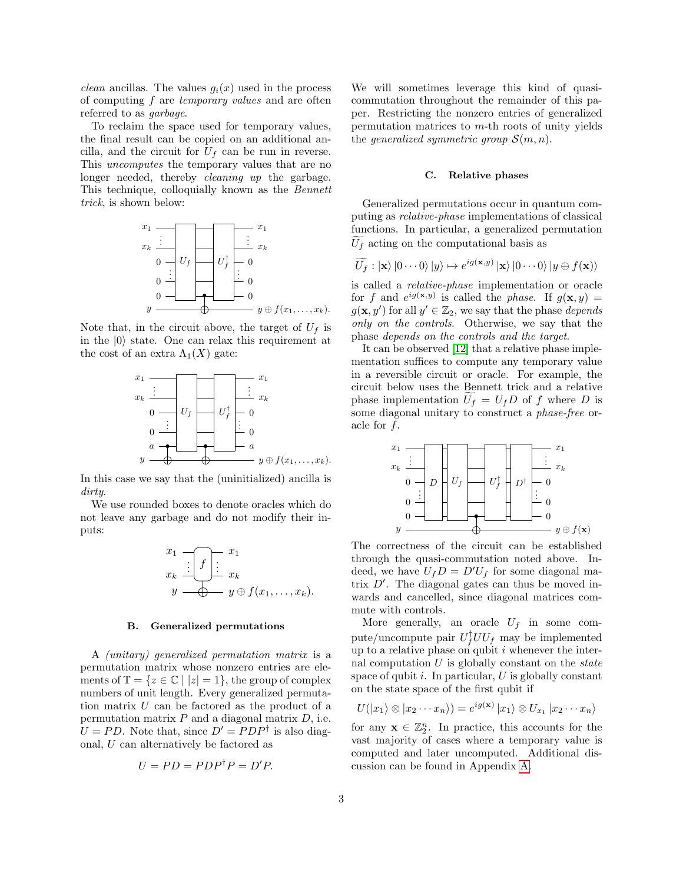*clean* ancillas. The values  $q_i(x)$  used in the process of computing f are temporary values and are often referred to as garbage.

To reclaim the space used for temporary values, the final result can be copied on an additional ancilla, and the circuit for  $U_f$  can be run in reverse. This uncomputes the temporary values that are no longer needed, thereby *cleaning up* the garbage. This technique, colloquially known as the Bennett trick, is shown below:



Note that, in the circuit above, the target of  $U_f$  is in the  $|0\rangle$  state. One can relax this requirement at the cost of an extra  $\Lambda_1(X)$  gate:



In this case we say that the (uninitialized) ancilla is dirty.

We use rounded boxes to denote oracles which do not leave any garbage and do not modify their inputs:

$$
x_1 \underbrace{\cdot \cdot \cdot}_{x_k} \underbrace{\cdot \cdot \cdot}_{y \longrightarrow y \oplus f(x_1, \dots, x_k)} x_1
$$

#### B. Generalized permutations

A (unitary) generalized permutation matrix is a permutation matrix whose nonzero entries are elements of  $\mathbb{T} = \{z \in \mathbb{C} \mid |z| = 1\}$ , the group of complex numbers of unit length. Every generalized permutation matrix U can be factored as the product of a permutation matrix  $P$  and a diagonal matrix  $D$ , i.e.  $U = PD$ . Note that, since  $D' = PDP^{\dagger}$  is also diagonal, U can alternatively be factored as

$$
U = PD = PDP^{\dagger}P = D'P.
$$

We will sometimes leverage this kind of quasicommutation throughout the remainder of this paper. Restricting the nonzero entries of generalized permutation matrices to  $m$ -th roots of unity yields the generalized symmetric group  $\mathcal{S}(m,n)$ .

#### C. Relative phases

Generalized permutations occur in quantum computing as relative-phase implementations of classical functions. In particular, a generalized permutation  $U_f$  acting on the computational basis as

$$
\widetilde{U_f}: \ket{\mathbf{x}}|0\cdots 0\rangle|y\rangle \mapsto e^{ig(\mathbf{x},y)}\ket{\mathbf{x}}|0\cdots 0\rangle|y \oplus f(\mathbf{x})\rangle
$$

is called a relative-phase implementation or oracle for f and  $e^{ig(\mathbf{x},y)}$  is called the phase. If  $g(\mathbf{x},y)$  =  $g(\mathbf{x}, y')$  for all  $y' \in \mathbb{Z}_2$ , we say that the phase *depends* only on the controls. Otherwise, we say that the phase depends on the controls and the target.

It can be observed [\[12\]](#page-12-0) that a relative phase implementation suffices to compute any temporary value in a reversible circuit or oracle. For example, the circuit below uses the Bennett trick and a relative phase implementation  $U_f = U_f D$  of f where D is some diagonal unitary to construct a phase-free oracle for f.



The correctness of the circuit can be established through the quasi-commutation noted above. Indeed, we have  $U_fD = D'U_f$  for some diagonal matrix  $D'$ . The diagonal gates can thus be moved inwards and cancelled, since diagonal matrices commute with controls.

More generally, an oracle  $U_f$  in some compute/uncompute pair  $U_f^{\dagger}UU_f$  may be implemented up to a relative phase on qubit  $i$  whenever the internal computation  $U$  is globally constant on the *state* space of qubit  $i$ . In particular,  $U$  is globally constant on the state space of the first qubit if

$$
U(|x_1\rangle \otimes |x_2\cdots x_n\rangle) = e^{ig(\mathbf{x})} |x_1\rangle \otimes U_{x_1} |x_2\cdots x_n\rangle
$$

for any  $\mathbf{x} \in \mathbb{Z}_2^n$ . In practice, this accounts for the vast majority of cases where a temporary value is computed and later uncomputed. Additional discussion can be found in Appendix [A.](#page-12-1)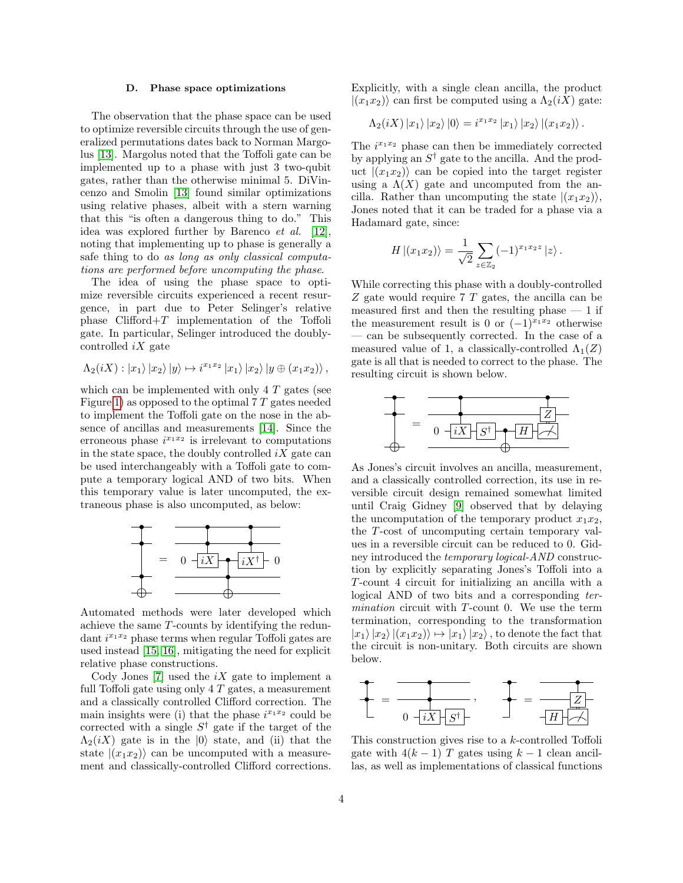#### D. Phase space optimizations

The observation that the phase space can be used to optimize reversible circuits through the use of generalized permutations dates back to Norman Margolus [\[13\]](#page-12-2). Margolus noted that the Toffoli gate can be implemented up to a phase with just 3 two-qubit gates, rather than the otherwise minimal 5. DiVincenzo and Smolin [\[13\]](#page-12-2) found similar optimizations using relative phases, albeit with a stern warning that this "is often a dangerous thing to do." This idea was explored further by Barenco et al. [\[12\]](#page-12-0), noting that implementing up to phase is generally a safe thing to do as long as only classical computations are performed before uncomputing the phase.

The idea of using the phase space to optimize reversible circuits experienced a recent resurgence, in part due to Peter Selinger's relative phase  $Clifford+T$  implementation of the Toffoli gate. In particular, Selinger introduced the doublycontrolled  $iX$  gate

$$
\Lambda_2(iX): |x_1\rangle |x_2\rangle |y\rangle \mapsto i^{x_1x_2} |x_1\rangle |x_2\rangle |y \oplus (x_1x_2)\rangle ,
$$

which can be implemented with only  $4 T$  gates (see Figure [1\)](#page-4-0) as opposed to the optimal  $7 T$  gates needed to implement the Toffoli gate on the nose in the absence of ancillas and measurements [\[14\]](#page-12-3). Since the erroneous phase  $i^{x_1x_2}$  is irrelevant to computations in the state space, the doubly controlled  $iX$  gate can be used interchangeably with a Toffoli gate to compute a temporary logical AND of two bits. When this temporary value is later uncomputed, the extraneous phase is also uncomputed, as below:



Automated methods were later developed which achieve the same T-counts by identifying the redundant  $i^{x_1x_2}$  phase terms when regular Toffoli gates are used instead [\[15,](#page-12-4) [16\]](#page-12-5), mitigating the need for explicit relative phase constructions.

Cody Jones [\[7\]](#page-11-6) used the  $iX$  gate to implement a full Toffoli gate using only  $4 T$  gates, a measurement and a classically controlled Clifford correction. The main insights were (i) that the phase  $i^{x_1x_2}$  could be corrected with a single  $S^{\dagger}$  gate if the target of the  $\Lambda_2(iX)$  gate is in the  $|0\rangle$  state, and (ii) that the state  $|(x_1x_2)\rangle$  can be uncomputed with a measurement and classically-controlled Clifford corrections. Explicitly, with a single clean ancilla, the product  $|(x_1x_2)\rangle$  can first be computed using a  $\Lambda_2(iX)$  gate:

$$
\Lambda_2(iX)\ket{x_1}\ket{x_2}\ket{0} = i^{x_1x_2}\ket{x_1}\ket{x_2}\ket{(x_1x_2)}.
$$

The  $i^{x_1x_2}$  phase can then be immediately corrected by applying an  $S^{\dagger}$  gate to the ancilla. And the product  $|(x_1x_2)\rangle$  can be copied into the target register using a  $\Lambda(X)$  gate and uncomputed from the ancilla. Rather than uncomputing the state  $|(x_1x_2)\rangle$ , Jones noted that it can be traded for a phase via a Hadamard gate, since:

$$
H | (x_1 x_2) \rangle = \frac{1}{\sqrt{2}} \sum_{z \in \mathbb{Z}_2} (-1)^{x_1 x_2 z} |z \rangle.
$$

While correcting this phase with a doubly-controlled Z gate would require 7 T gates, the ancilla can be measured first and then the resulting phase  $-1$  if the measurement result is 0 or  $(-1)^{x_1x_2}$  otherwise — can be subsequently corrected. In the case of a measured value of 1, a classically-controlled  $\Lambda_1(Z)$ gate is all that is needed to correct to the phase. The resulting circuit is shown below.



As Jones's circuit involves an ancilla, measurement, and a classically controlled correction, its use in reversible circuit design remained somewhat limited until Craig Gidney [\[9\]](#page-11-8) observed that by delaying the uncomputation of the temporary product  $x_1x_2$ , the T-cost of uncomputing certain temporary values in a reversible circuit can be reduced to 0. Gidney introduced the temporary logical-AND construction by explicitly separating Jones's Toffoli into a T-count 4 circuit for initializing an ancilla with a logical AND of two bits and a corresponding termination circuit with T-count 0. We use the term termination, corresponding to the transformation  $|x_1\rangle |x_2\rangle |(x_1x_2)\rangle \mapsto |x_1\rangle |x_2\rangle$ , to denote the fact that the circuit is non-unitary. Both circuits are shown below.

$$
\begin{array}{|c|c|c|c|c|}\n\hline\n\end{array} =\n\begin{array}{|c|c|c|}\n\hline\n\end{array} \qquad\n\begin{array}{|c|c|c|}\n\hline\n\end{array} =\n\begin{array}{|c|c|c|}\n\hline\n\end{array} \qquad\n\begin{array}{|c|c|c|}\n\hline\n\end{array} =\n\begin{array}{|c|c|c|}\n\hline\n\end{array} \qquad\n\begin{array}{|c|c|c|}\n\hline\n\end{array} =\n\begin{array}{|c|c|c|}\n\hline\n\end{array} \qquad\n\begin{array}{|c|c|c|}\n\hline\n\end{array} =\n\begin{array}{|c|c|c|}\n\hline\n\end{array} \qquad\n\begin{array}{|c|c|c|}\n\hline\n\end{array} =\n\begin{array}{|c|c|c|}\n\hline\n\end{array} \qquad\n\begin{array}{|c|c|c|}\n\hline\n\end{array} =\n\begin{array}{|c|c|c|}\n\hline\n\end{array} \qquad\n\begin{array}{|c|c|c|}\n\hline\n\end{array} =\n\begin{array}{|c|c|c|}\n\hline\n\end{array} \qquad\n\begin{array}{|c|c|c|}\n\hline\n\end{array} =\n\begin{array}{|c|c|c|}\n\hline\n\end{array} \qquad\n\begin{array}{|c|c|c|}\n\hline\n\end{array} =\n\begin{array}{|c|c|c|}\n\hline\n\end{array} \qquad\n\begin{array}{|c|c|c|}\n\hline\n\end{array} =\n\begin{array}{|c|c|c|}\n\hline\n\end{array} \qquad\n\begin{array}{|c|c|c|}\n\hline\n\end{array} =\n\begin{array}{|c|c|c|}\n\hline\n\end{array} \qquad\n\begin{array}{|c|c|c|}\n\hline\n\end{array} =\n\begin{array}{|c|c|c|}\n\hline\n\end{array} \qquad\n\begin{array}{|c|c|c|}\n\hline\n\end{array} =\n\begin{array}{|c|c|c|}\n\hline\n\end{array} \qquad\n\begin{array}{|c|c|c|}
$$

This construction gives rise to a k-controlled Toffoli gate with  $4(k-1)$  T gates using  $k-1$  clean ancillas, as well as implementations of classical functions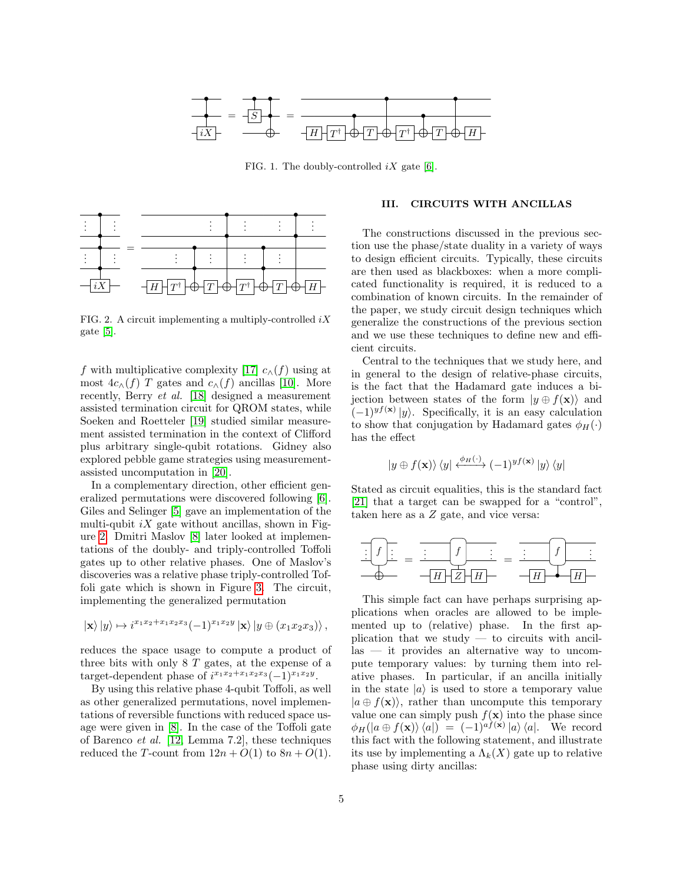

<span id="page-4-0"></span>FIG. 1. The doubly-controlled  $iX$  gate [\[6\]](#page-11-5).



<span id="page-4-1"></span>FIG. 2. A circuit implementing a multiply-controlled  $iX$ gate [\[5\]](#page-11-4).

f with multiplicative complexity [\[17\]](#page-12-6)  $c_{\Lambda}(f)$  using at most  $4c_{\wedge}(f)$  T gates and  $c_{\wedge}(f)$  ancillas [\[10\]](#page-11-12). More recently, Berry et al. [\[18\]](#page-12-7) designed a measurement assisted termination circuit for QROM states, while Soeken and Roetteler [\[19\]](#page-12-8) studied similar measurement assisted termination in the context of Clifford plus arbitrary single-qubit rotations. Gidney also explored pebble game strategies using measurementassisted uncomputation in [\[20\]](#page-12-9).

In a complementary direction, other efficient generalized permutations were discovered following [\[6\]](#page-11-5). Giles and Selinger [\[5\]](#page-11-4) gave an implementation of the multi-qubit  $iX$  gate without ancillas, shown in Figure [2.](#page-4-1) Dmitri Maslov [\[8\]](#page-11-7) later looked at implementations of the doubly- and triply-controlled Toffoli gates up to other relative phases. One of Maslov's discoveries was a relative phase triply-controlled Toffoli gate which is shown in Figure [3.](#page-5-0) The circuit, implementing the generalized permutation

$$
|\mathbf{x}\rangle |y\rangle \mapsto i^{x_1x_2+x_1x_2x_3}(-1)^{x_1x_2y} |\mathbf{x}\rangle |y \oplus (x_1x_2x_3)\rangle
$$
,

reduces the space usage to compute a product of three bits with only  $8 T$  gates, at the expense of a target-dependent phase of  $i^{x_1x_2+x_1x_2x_3}(-1)^{x_1x_2y}$ .

By using this relative phase 4-qubit Toffoli, as well as other generalized permutations, novel implementations of reversible functions with reduced space usage were given in [\[8\]](#page-11-7). In the case of the Toffoli gate of Barenco et al. [\[12,](#page-12-0) Lemma 7.2], these techniques reduced the T-count from  $12n + O(1)$  to  $8n + O(1)$ .

# <span id="page-4-2"></span>III. CIRCUITS WITH ANCILLAS

The constructions discussed in the previous section use the phase/state duality in a variety of ways to design efficient circuits. Typically, these circuits are then used as blackboxes: when a more complicated functionality is required, it is reduced to a combination of known circuits. In the remainder of the paper, we study circuit design techniques which generalize the constructions of the previous section and we use these techniques to define new and efficient circuits.

Central to the techniques that we study here, and in general to the design of relative-phase circuits, is the fact that the Hadamard gate induces a bijection between states of the form  $|y \oplus f(\mathbf{x})\rangle$  and  $(-1)^{y f(x)} |y\rangle$ . Specifically, it is an easy calculation to show that conjugation by Hadamard gates  $\phi_H(\cdot)$ has the effect

$$
\left|y \oplus f(\mathbf{x})\right\rangle\left\langle y\right|\xleftarrow{\phi_H(\cdot)}(-1)^{yf(\mathbf{x})}\left|y\right\rangle\left\langle y\right|
$$

Stated as circuit equalities, this is the standard fact [\[21\]](#page-12-10) that a target can be swapped for a "control", taken here as a Z gate, and vice versa:

$$
\frac{f}{\frac{1}{\sqrt{1-\frac{1}{2}}}} = \frac{f}{\frac{1}{\sqrt{1-\frac{1}{2}}}} = \frac{f}{\frac{1}{\sqrt{1-\frac{1}{2}}}} = \frac{f}{\frac{1}{\sqrt{1-\frac{1}{2}}}} = \frac{f}{\frac{1}{\sqrt{1-\frac{1}{2}}}} = \frac{f}{\frac{1}{\sqrt{1-\frac{1}{2}}}} = \frac{1}{\frac{1}{\sqrt{1-\frac{1}{2}}}} = \frac{1}{\frac{1}{\sqrt{1-\frac{1}{2}}}} = \frac{1}{\frac{1}{\sqrt{1-\frac{1}{2}}}} = \frac{1}{\frac{1}{\sqrt{1-\frac{1}{2}}}} = \frac{1}{\frac{1}{\sqrt{1-\frac{1}{2}}}} = \frac{1}{\frac{1}{\sqrt{1-\frac{1}{2}}}} = \frac{1}{\frac{1}{\sqrt{1-\frac{1}{2}}}} = \frac{1}{\frac{1}{\sqrt{1-\frac{1}{2}}}} = \frac{1}{\frac{1}{\sqrt{1-\frac{1}{2}}}} = \frac{1}{\frac{1}{\sqrt{1-\frac{1}{2}}}} = \frac{1}{\frac{1}{\sqrt{1-\frac{1}{2}}}} = \frac{1}{\frac{1}{\sqrt{1-\frac{1}{2}}}} = \frac{1}{\frac{1}{\sqrt{1-\frac{1}{2}}}} = \frac{1}{\frac{1}{\sqrt{1-\frac{1}{2}}}} = \frac{1}{\frac{1}{\sqrt{1-\frac{1}{2}}}} = \frac{1}{\frac{1}{\sqrt{1-\frac{1}{2}}}} = \frac{1}{\frac{1}{\sqrt{1-\frac{1}{2}}}} = \frac{1}{\frac{1}{\sqrt{1-\frac{1}{2}}}} = \frac{1}{\frac{1}{\sqrt{1-\frac{1}{2}}}} = \frac{1}{\frac{1}{\sqrt{1-\frac{1}{2}}}} = \frac{1}{\frac{1}{\sqrt{1-\frac{1}{2}}}} = \frac{1}{\frac{1}{\sqrt{1-\frac{1}{2}}}} = \frac{1}{\frac{1}{\sqrt{1-\frac{1}{2}}}} = \frac{1}{\frac{1}{\sqrt{1-\frac{1}{2}}}} = \frac{1}{\frac{1}{\sqrt{1-\frac{1}{2}}}} = \frac{1}{\frac{1}{\sqrt{1-\frac{1}{2}}}} = \frac{1}{\frac{1}{\sqrt{1-\frac{1}{2}}}} = \
$$

This simple fact can have perhaps surprising applications when oracles are allowed to be implemented up to (relative) phase. In the first application that we study  $-$  to circuits with ancillas — it provides an alternative way to uncompute temporary values: by turning them into relative phases. In particular, if an ancilla initially in the state  $|a\rangle$  is used to store a temporary value  $|a \oplus f(\mathbf{x})\rangle$ , rather than uncompute this temporary value one can simply push  $f(\mathbf{x})$  into the phase since  $\phi_H(|a \oplus f(\mathbf{x})\rangle\langle a|) = (-1)^{af(\mathbf{x})} |a\rangle\langle a|$ . We record this fact with the following statement, and illustrate its use by implementing a  $\Lambda_k(X)$  gate up to relative phase using dirty ancillas: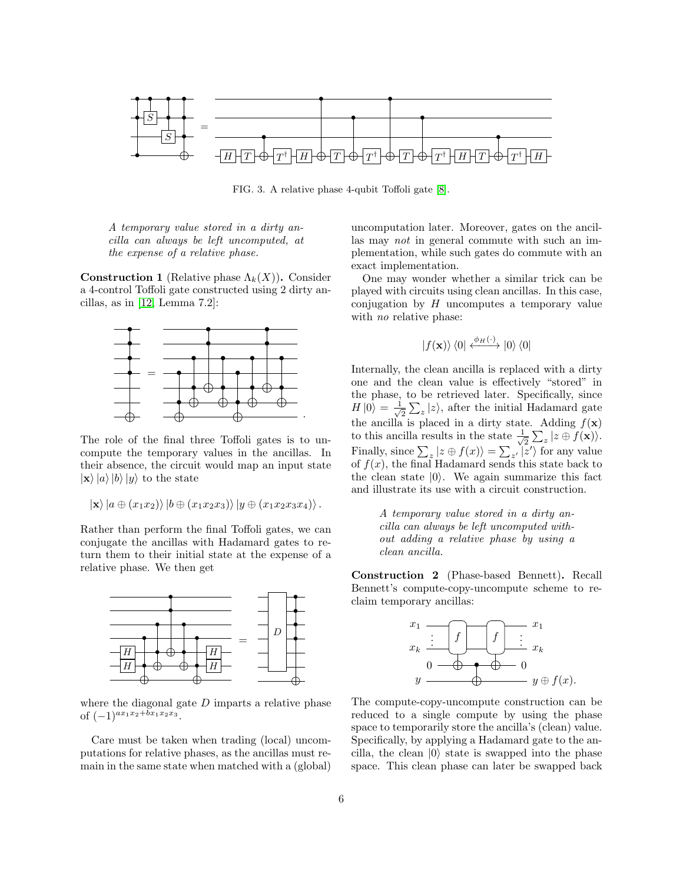

<span id="page-5-0"></span>FIG. 3. A relative phase 4-qubit Toffoli gate [\[8\]](#page-11-7).

A temporary value stored in a dirty ancilla can always be left uncomputed, at the expense of a relative phase.

**Construction 1** (Relative phase  $\Lambda_k(X)$ ). Consider a 4-control Toffoli gate constructed using 2 dirty ancillas, as in [\[12,](#page-12-0) Lemma 7.2]:



The role of the final three Toffoli gates is to uncompute the temporary values in the ancillas. In their absence, the circuit would map an input state  $|\mathbf{x}\rangle |a\rangle |b\rangle |y\rangle$  to the state

$$
|\mathbf{x}\rangle |a \oplus (x_1x_2)\rangle |b \oplus (x_1x_2x_3)\rangle |y \oplus (x_1x_2x_3x_4)\rangle.
$$

Rather than perform the final Toffoli gates, we can conjugate the ancillas with Hadamard gates to return them to their initial state at the expense of a relative phase. We then get



where the diagonal gate  $D$  imparts a relative phase of  $(-1)^{ax_1x_2+bx_1x_2x_3}$ .

Care must be taken when trading (local) uncomputations for relative phases, as the ancillas must remain in the same state when matched with a (global)

uncomputation later. Moreover, gates on the ancillas may not in general commute with such an implementation, while such gates do commute with an exact implementation.

One may wonder whether a similar trick can be played with circuits using clean ancillas. In this case, conjugation by  $H$  uncomputes a temporary value with *no* relative phase:

$$
|f(\mathbf{x})\rangle\langle 0| \xleftarrow{\phi_H(\cdot)} |0\rangle\langle 0|
$$

Internally, the clean ancilla is replaced with a dirty one and the clean value is effectively "stored" in the phase, to be retrieved later. Specifically, since  $H\ket{0} = \frac{1}{\sqrt{2}}$  $\frac{1}{2}\sum_{z}|z\rangle$ , after the initial Hadamard gate the ancilla is placed in a dirty state. Adding  $f(\mathbf{x})$ to this ancilla results in the state  $\frac{1}{\sqrt{2}}$  $\frac{1}{2}\sum_{z}|z\oplus f(\mathbf{x})\rangle.$ Finally, since  $\sum_{z} |z \oplus f(x)\rangle = \sum_{z'} |z'\rangle$  for any value of  $f(x)$ , the final Hadamard sends this state back to the clean state  $|0\rangle$ . We again summarize this fact and illustrate its use with a circuit construction.

> A temporary value stored in a dirty ancilla can always be left uncomputed without adding a relative phase by using a clean ancilla.

Construction 2 (Phase-based Bennett). Recall Bennett's compute-copy-uncompute scheme to reclaim temporary ancillas:



The compute-copy-uncompute construction can be reduced to a single compute by using the phase space to temporarily store the ancilla's (clean) value. Specifically, by applying a Hadamard gate to the ancilla, the clean  $|0\rangle$  state is swapped into the phase space. This clean phase can later be swapped back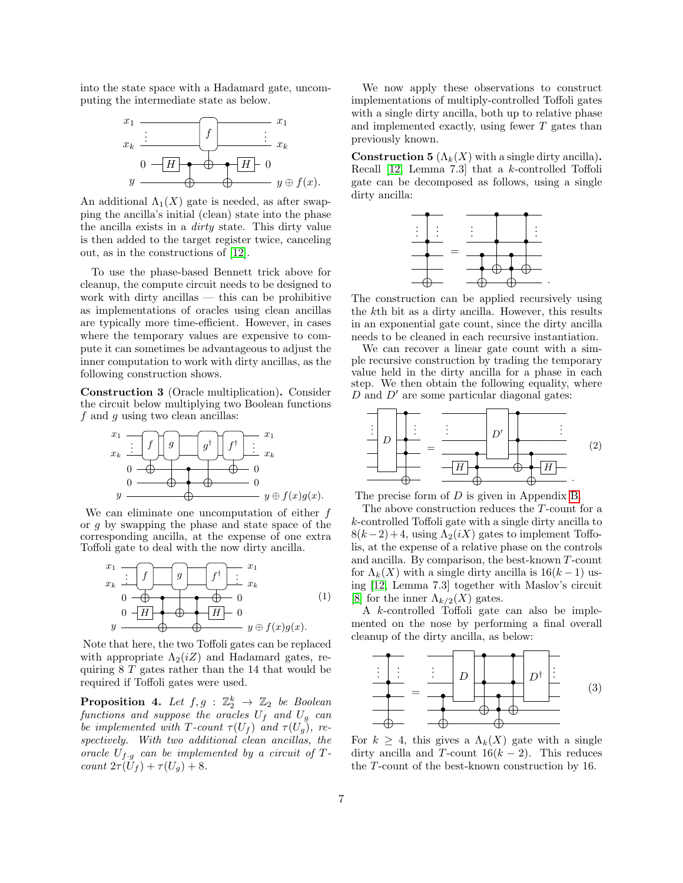into the state space with a Hadamard gate, uncomputing the intermediate state as below.



An additional  $\Lambda_1(X)$  gate is needed, as after swapping the ancilla's initial (clean) state into the phase the ancilla exists in a dirty state. This dirty value is then added to the target register twice, canceling out, as in the constructions of [\[12\]](#page-12-0).

To use the phase-based Bennett trick above for cleanup, the compute circuit needs to be designed to work with dirty ancillas  $-$  this can be prohibitive as implementations of oracles using clean ancillas are typically more time-efficient. However, in cases where the temporary values are expensive to compute it can sometimes be advantageous to adjust the inner computation to work with dirty ancillas, as the following construction shows.

Construction 3 (Oracle multiplication). Consider the circuit below multiplying two Boolean functions  $f$  and  $g$  using two clean ancillas:



We can eliminate one uncomputation of either  $f$ or g by swapping the phase and state space of the corresponding ancilla, at the expense of one extra Toffoli gate to deal with the now dirty ancilla.



Note that here, the two Toffoli gates can be replaced with appropriate  $\Lambda_2(iZ)$  and Hadamard gates, requiring 8 T gates rather than the 14 that would be required if Toffoli gates were used.

**Proposition 4.** Let  $f, g : \mathbb{Z}_2^k \to \mathbb{Z}_2$  be Boolean functions and suppose the oracles  $U_f$  and  $U_g$  can be implemented with T-count  $\tau(U_f)$  and  $\tau(U_q)$ , respectively. With two additional clean ancillas, the oracle  $U_{f \cdot g}$  can be implemented by a circuit of Tcount  $2\tau(\tilde{U}_f) + \tau(U_g) + 8$ .

We now apply these observations to construct implementations of multiply-controlled Toffoli gates with a single dirty ancilla, both up to relative phase and implemented exactly, using fewer T gates than previously known.

<span id="page-6-3"></span>**Construction 5** ( $\Lambda_k(X)$  with a single dirty ancilla). Recall [\[12,](#page-12-0) Lemma 7.3] that a k-controlled Toffoli gate can be decomposed as follows, using a single dirty ancilla:



The construction can be applied recursively using the kth bit as a dirty ancilla. However, this results in an exponential gate count, since the dirty ancilla needs to be cleaned in each recursive instantiation.

We can recover a linear gate count with a simple recursive construction by trading the temporary value held in the dirty ancilla for a phase in each step. We then obtain the following equality, where  $D$  and  $D'$  are some particular diagonal gates:

<span id="page-6-1"></span>

The precise form of  $D$  is given in Appendix [B.](#page-13-0)

The above construction reduces the T-count for a k-controlled Toffoli gate with a single dirty ancilla to  $8(k-2)+4$ , using  $\Lambda_2(iX)$  gates to implement Toffolis, at the expense of a relative phase on the controls and ancilla. By comparison, the best-known T-count for  $\Lambda_k(X)$  with a single dirty ancilla is  $16(k-1)$  using [\[12,](#page-12-0) Lemma 7.3] together with Maslov's circuit [\[8\]](#page-11-7) for the inner  $\Lambda_{k/2}(X)$  gates.

<span id="page-6-0"></span>A k-controlled Toffoli gate can also be implemented on the nose by performing a final overall cleanup of the dirty ancilla, as below:

<span id="page-6-2"></span>

For  $k \geq 4$ , this gives a  $\Lambda_k(X)$  gate with a single dirty ancilla and T-count  $16(k-2)$ . This reduces the T-count of the best-known construction by 16.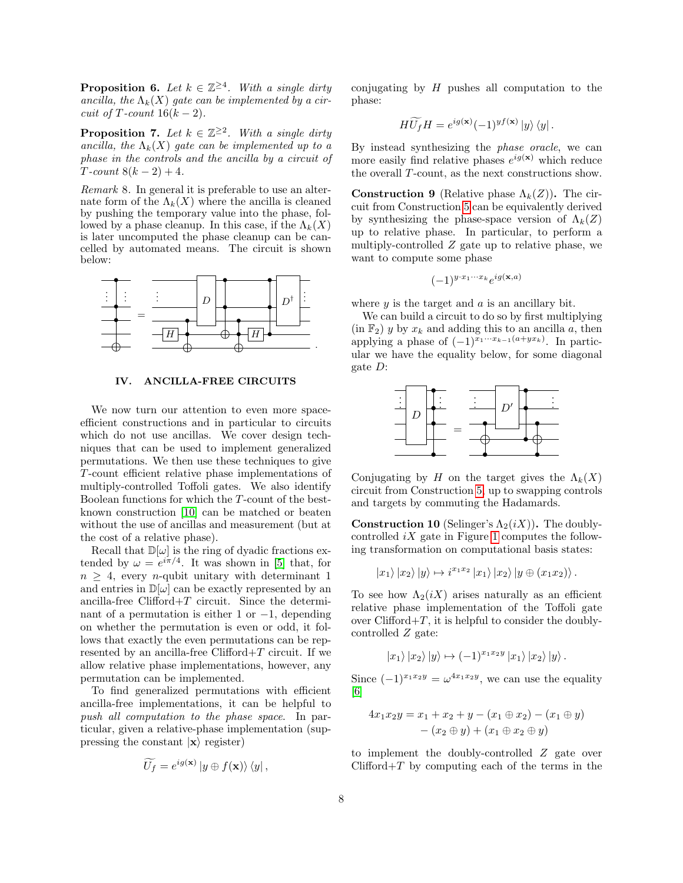**Proposition 6.** Let  $k \in \mathbb{Z}^{\geq 4}$ . With a single dirty ancilla, the  $\Lambda_k(X)$  gate can be implemented by a circuit of T-count  $16(k-2)$ .

**Proposition 7.** Let  $k \in \mathbb{Z}^{\geq 2}$ . With a single dirty ancilla, the  $\Lambda_k(X)$  gate can be implemented up to a phase in the controls and the ancilla by a circuit of  $T$ -count  $8(k-2) + 4$ .

Remark 8. In general it is preferable to use an alternate form of the  $\Lambda_k(X)$  where the ancilla is cleaned by pushing the temporary value into the phase, followed by a phase cleanup. In this case, if the  $\Lambda_k(X)$ is later uncomputed the phase cleanup can be cancelled by automated means. The circuit is shown below:



#### <span id="page-7-0"></span>IV. ANCILLA-FREE CIRCUITS

We now turn our attention to even more spaceefficient constructions and in particular to circuits which do not use ancillas. We cover design techniques that can be used to implement generalized permutations. We then use these techniques to give T-count efficient relative phase implementations of multiply-controlled Toffoli gates. We also identify Boolean functions for which the T-count of the bestknown construction [\[10\]](#page-11-12) can be matched or beaten without the use of ancillas and measurement (but at the cost of a relative phase).

Recall that  $\mathbb{D}[\omega]$  is the ring of dyadic fractions extended by  $\omega = e^{i\pi/4}$ . It was shown in [\[5\]](#page-11-4) that, for  $n \geq 4$ , every *n*-qubit unitary with determinant 1 and entries in  $\mathbb{D}[\omega]$  can be exactly represented by an ancilla-free Clifford+ $T$  circuit. Since the determinant of a permutation is either 1 or  $-1$ , depending on whether the permutation is even or odd, it follows that exactly the even permutations can be represented by an ancilla-free Clifford $+T$  circuit. If we allow relative phase implementations, however, any permutation can be implemented.

To find generalized permutations with efficient ancilla-free implementations, it can be helpful to push all computation to the phase space. In particular, given a relative-phase implementation (suppressing the constant  $|x\rangle$  register)

$$
\widetilde{U_f} = e^{ig(\mathbf{x})} |y \oplus f(\mathbf{x})\rangle \langle y|,
$$

conjugating by  $H$  pushes all computation to the phase:

$$
H\widetilde{U_f}H = e^{ig(\mathbf{x})}(-1)^{gf(\mathbf{x})}|y\rangle\langle y|.
$$

By instead synthesizing the phase oracle, we can more easily find relative phases  $e^{ig(x)}$  which reduce the overall T-count, as the next constructions show.

**Construction 9** (Relative phase  $\Lambda_k(Z)$ ). The circuit from Construction [5](#page-6-3) can be equivalently derived by synthesizing the phase-space version of  $\Lambda_k(Z)$ up to relative phase. In particular, to perform a multiply-controlled  $Z$  gate up to relative phase, we want to compute some phase

$$
(-1)^{y \cdot x_1 \cdots x_k} e^{ig(\mathbf{x},a)}
$$

where  $y$  is the target and  $a$  is an ancillary bit.

We can build a circuit to do so by first multiplying  $(\text{in } \mathbb{F}_2)$  y by  $x_k$  and adding this to an ancilla a, then applying a phase of  $(-1)^{x_1 \cdots x_{k-1}(a+yx_k)}$ . In particular we have the equality below, for some diagonal gate D:



Conjugating by H on the target gives the  $\Lambda_k(X)$ circuit from Construction [5,](#page-6-3) up to swapping controls and targets by commuting the Hadamards.

**Construction 10** (Selinger's  $\Lambda_2(iX)$ ). The doublycontrolled  $iX$  gate in Figure [1](#page-4-0) computes the following transformation on computational basis states:

$$
|x_1\rangle |x_2\rangle |y\rangle \mapsto i^{x_1x_2} |x_1\rangle |x_2\rangle |y \oplus (x_1x_2)\rangle.
$$

To see how  $\Lambda_2(iX)$  arises naturally as an efficient relative phase implementation of the Toffoli gate over Clifford $+T$ , it is helpful to consider the doublycontrolled Z gate:

$$
|x_1\rangle |x_2\rangle |y\rangle \mapsto (-1)^{x_1x_2y} |x_1\rangle |x_2\rangle |y\rangle.
$$

Since  $(-1)^{x_1x_2y} = \omega^{4x_1x_2y}$ , we can use the equality [\[6\]](#page-11-5)

$$
4x_1x_2y = x_1 + x_2 + y - (x_1 \oplus x_2) - (x_1 \oplus y) - (x_2 \oplus y) + (x_1 \oplus x_2 \oplus y)
$$

to implement the doubly-controlled Z gate over  $Clifford+T$  by computing each of the terms in the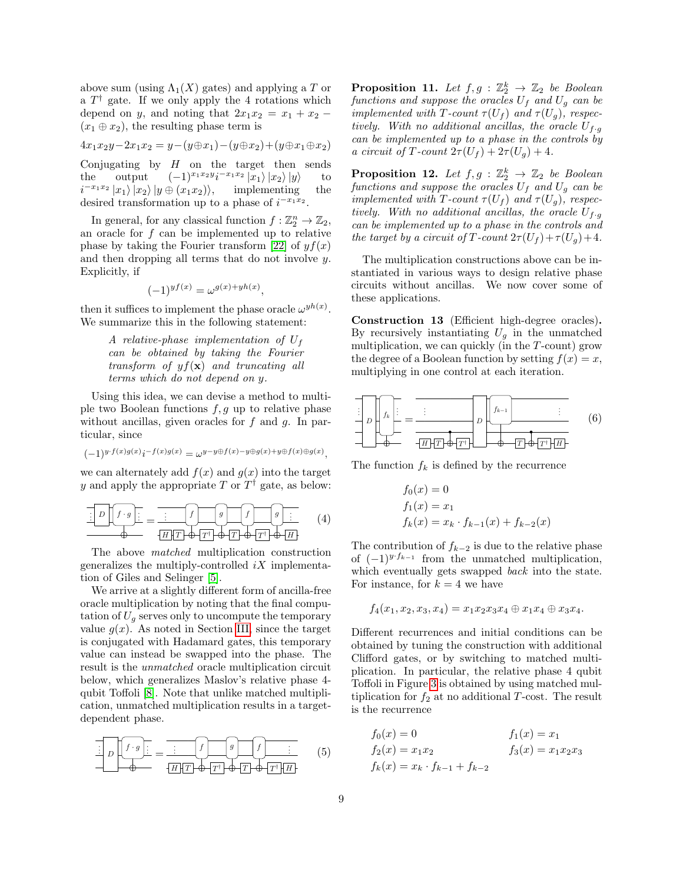above sum (using  $\Lambda_1(X)$  gates) and applying a T or a  $T^{\dagger}$  gate. If we only apply the 4 rotations which depend on y, and noting that  $2x_1x_2 = x_1 + x_2$  $(x_1 \oplus x_2)$ , the resulting phase term is

$$
4x_1x_2y - 2x_1x_2 = y - (y \oplus x_1) - (y \oplus x_2) + (y \oplus x_1 \oplus x_2)
$$

Conjugating by  $H$  on the target then sends the output  $(-1)^{x_1x_2y}i^{-x_1x_2}|x_1\rangle |x_2\rangle |y\rangle$  to  $i^{-x_1x_2}|x_1\rangle |x_2\rangle |y \oplus (x_1x_2)\rangle, \quad \text{ implementing} \quad \text{the}$ desired transformation up to a phase of  $i^{-x_1x_2}$ .

In general, for any classical function  $f : \mathbb{Z}_2^n \to \mathbb{Z}_2$ , an oracle for  $f$  can be implemented up to relative phase by taking the Fourier transform [\[22\]](#page-12-11) of  $y f(x)$ and then dropping all terms that do not involve y. Explicitly, if

$$
(-1)^{yf(x)} = \omega^{g(x)+yh(x)},
$$

then it suffices to implement the phase oracle  $\omega^{yh(x)}$ . We summarize this in the following statement:

A relative-phase implementation of 
$$
U_f
$$
  
can be obtained by taking the Fourier  
transform of  $yf(\mathbf{x})$  and truncating all  
terms which do not depend on y.

Using this idea, we can devise a method to multiple two Boolean functions  $f, g$  up to relative phase without ancillas, given oracles for  $f$  and  $g$ . In particular, since

$$
(-1)^{y\cdot f(x)g(x)}i^{-f(x)g(x)}=\omega^{y-y\oplus f(x)-y\oplus g(x)+y\oplus f(x)\oplus g(x)},
$$

we can alternately add  $f(x)$  and  $g(x)$  into the target y and apply the appropriate T or  $T^{\dagger}$  gate, as below:

$$
\frac{\left[\begin{array}{c|c}\n\hline\nD & f \cdot g\n\end{array}\right]_{\cdot}}{\Phi} = \frac{\left[\begin{array}{c|c}\n\hline\nf & g\n\end{array}\right]_{\cdot}}{\left[H\right]\left[T\right]\Phi\left[T\right]\Phi\left[T\right]\Phi\left[T\right]\Phi\left[H\right]} \tag{4}
$$

The above matched multiplication construction generalizes the multiply-controlled  $iX$  implementation of Giles and Selinger [\[5\]](#page-11-4).

We arrive at a slightly different form of ancilla-free oracle multiplication by noting that the final computation of  $U<sub>g</sub>$  serves only to uncompute the temporary value  $g(x)$ . As noted in Section [III,](#page-4-2) since the target is conjugated with Hadamard gates, this temporary value can instead be swapped into the phase. The result is the unmatched oracle multiplication circuit below, which generalizes Maslov's relative phase 4 qubit Toffoli [\[8\]](#page-11-7). Note that unlike matched multiplication, unmatched multiplication results in a targetdependent phase.

$$
\frac{1}{D}\left[f \cdot g\right] = \frac{1}{H}\left[f\right] \quad \left(g\right) \quad \left(f\right) \quad \left(f\right) \quad \left(f\right) \quad \left(f\right) \quad \left(f\right) \quad \left(f\right) \quad \left(f\right) \quad \left(f\right) \quad \left(f\right) \quad \left(f\right) \quad \left(f\right) \quad \left(f\right) \quad \left(f\right) \quad \left(f\right) \quad \left(f\right) \quad \left(f\right) \quad \left(f\right) \quad \left(f\right) \quad \left(f\right) \quad \left(f\right) \quad \left(f\right) \quad \left(f\right) \quad \left(f\right) \quad \left(f\right) \quad \left(f\right) \quad \left(f\right) \quad \left(f\right) \quad \left(f\right) \quad \left(f\right) \quad \left(f\right) \quad \left(f\right) \quad \left(f\right) \quad \left(f\right) \quad \left(f\right) \quad \left(f\right) \quad \left(f\right) \quad \left(f\right) \quad \left(f\right) \quad \left(f\right) \quad \left(f\right) \quad \left(f\right) \quad \left(f\right) \quad \left(f\right) \quad \left(f\right) \quad \left(f\right) \quad \left(f\right) \quad \left(f\right) \quad \left(f\right) \quad \left(f\right) \quad \left(f\right) \quad \left(f\right) \quad \left(f\right) \quad \left(f\right) \quad \left(f\right) \quad \left(f\right) \quad \left(f\right) \quad \left(f\right) \quad \left(f\right) \quad \left(f\right) \quad \left(f\right) \quad \left(f\right) \quad \left(f\right) \quad \left(f\right) \quad \left(f\right) \quad \left(f\right) \quad \left(f\right) \quad \left(f\right) \quad \left(f\right) \quad \left(f\right) \quad \left(f\right) \quad \left(f\right) \quad \left(f\right) \quad \left(f\right) \quad \left(f\right) \quad \left(f\right) \quad \left(f\right) \quad \left(f\right) \quad \left(f\right) \quad \left(f\right) \quad \left(f\right) \quad \left(f\right) \quad \left(f\right) \quad \left(f\right) \quad \left(f\right) \quad \left(f\right) \quad \left(f\right) \quad \left(f\right) \quad \left(f\right) \quad \left(f\right) \quad \left(f\right) \quad \left
$$

**Proposition 11.** Let  $f, g : \mathbb{Z}_2^k \to \mathbb{Z}_2$  be Boolean functions and suppose the oracles  $U_f$  and  $U_g$  can be implemented with T-count  $\tau(U_f)$  and  $\tau(U_g)$ , respectively. With no additional ancillas, the oracle  $U_{f \cdot g}$ can be implemented up to a phase in the controls by a circuit of T-count  $2\tau(U_f) + 2\tau(U_q) + 4$ .

**Proposition 12.** Let  $f, g : \mathbb{Z}_2^k \to \mathbb{Z}_2$  be Boolean functions and suppose the oracles  $U_f$  and  $U_g$  can be implemented with T-count  $\tau(U_f)$  and  $\tau(U_g)$ , respectively. With no additional ancillas, the oracle  $U_{f \cdot g}$ can be implemented up to a phase in the controls and the target by a circuit of T-count  $2\tau(U_f)+\tau(U_g)+4$ .

The multiplication constructions above can be instantiated in various ways to design relative phase circuits without ancillas. We now cover some of these applications.

<span id="page-8-3"></span>Construction 13 (Efficient high-degree oracles). By recursively instantiating  $U_g$  in the unmatched multiplication, we can quickly  $(in the T-count)$  grow the degree of a Boolean function by setting  $f(x) = x$ , multiplying in one control at each iteration.



The function  $f_k$  is defined by the recurrence

<span id="page-8-2"></span>
$$
f_0(x) = 0
$$
  
\n
$$
f_1(x) = x_1
$$
  
\n
$$
f_k(x) = x_k \cdot f_{k-1}(x) + f_{k-2}(x)
$$

<span id="page-8-0"></span>The contribution of  $f_{k-2}$  is due to the relative phase of  $(-1)^{y \cdot f_{k-1}}$  from the unmatched multiplication, which eventually gets swapped *back* into the state. For instance, for  $k = 4$  we have

$$
f_4(x_1, x_2, x_3, x_4) = x_1 x_2 x_3 x_4 \oplus x_1 x_4 \oplus x_3 x_4.
$$

Different recurrences and initial conditions can be obtained by tuning the construction with additional Clifford gates, or by switching to matched multiplication. In particular, the relative phase 4 qubit Toffoli in Figure [3](#page-5-0) is obtained by using matched multiplication for  $f_2$  at no additional T-cost. The result is the recurrence

<span id="page-8-1"></span>
$$
f_0(x) = 0
$$
  
\n
$$
f_2(x) = x_1 x_2
$$
  
\n
$$
f_k(x) = x_k \cdot f_{k-1} + f_{k-2}
$$
  
\n
$$
f_1(x) = x_1
$$
  
\n
$$
f_2(x) = x_1 x_2 x_3
$$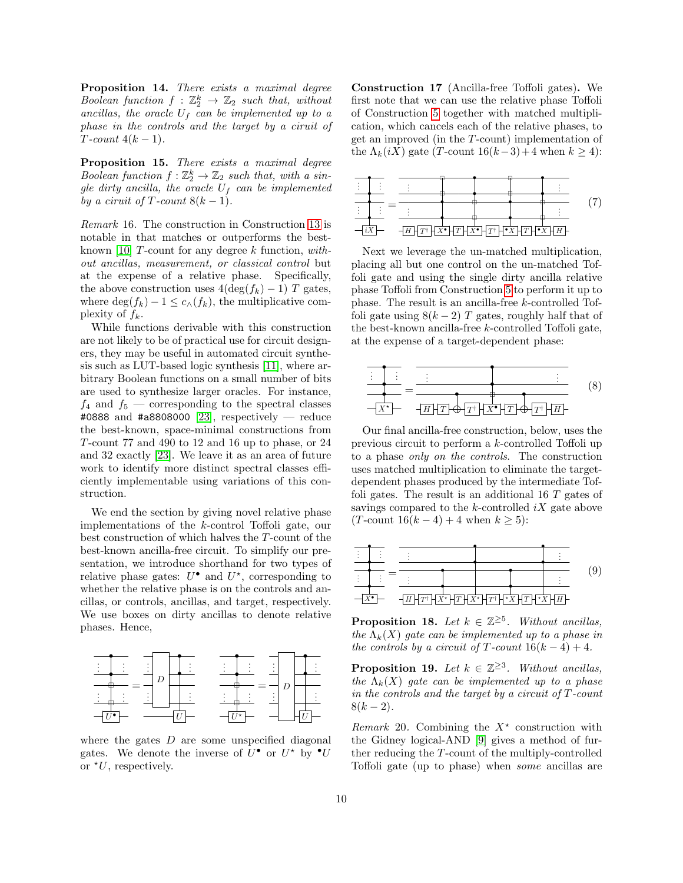Proposition 14. There exists a maximal degree Boolean function  $f : \mathbb{Z}_2^k \to \mathbb{Z}_2$  such that, without ancillas, the oracle  $U_f$  can be implemented up to a phase in the controls and the target by a ciruit of  $T$ -count  $4(k-1)$ .

Proposition 15. There exists a maximal degree Boolean function  $f : \mathbb{Z}_2^k \to \mathbb{Z}_2$  such that, with a single dirty ancilla, the oracle  $U_f$  can be implemented by a ciruit of T-count  $8(k-1)$ .

Remark 16. The construction in Construction [13](#page-8-3) is notable in that matches or outperforms the best-known [\[10\]](#page-11-12)  $T$ -count for any degree  $k$  function, without ancillas, measurement, or classical control but at the expense of a relative phase. Specifically, the above construction uses  $4(\deg(f_k) - 1)$  T gates, where  $\deg(f_k) - 1 \leq c_{\wedge}(f_k)$ , the multiplicative complexity of  $f_k$ .

While functions derivable with this construction are not likely to be of practical use for circuit designers, they may be useful in automated circuit synthesis such as LUT-based logic synthesis [\[11\]](#page-11-13), where arbitrary Boolean functions on a small number of bits are used to synthesize larger oracles. For instance,  $f_4$  and  $f_5$  — corresponding to the spectral classes #0888 and #a8808000 [\[23\]](#page-12-12), respectively — reduce the best-known, space-minimal constructions from T-count 77 and 490 to 12 and 16 up to phase, or 24 and 32 exactly [\[23\]](#page-12-12). We leave it as an area of future work to identify more distinct spectral classes efficiently implementable using variations of this construction.

We end the section by giving novel relative phase implementations of the k-control Toffoli gate, our best construction of which halves the T-count of the best-known ancilla-free circuit. To simplify our presentation, we introduce shorthand for two types of relative phase gates:  $U^{\bullet}$  and  $U^{\star}$ , corresponding to whether the relative phase is on the controls and ancillas, or controls, ancillas, and target, respectively. We use boxes on dirty ancillas to denote relative phases. Hence,



where the gates  $D$  are some unspecified diagonal gates. We denote the inverse of  $U^{\bullet}$  or  $U^{\star}$  by  $^{\bullet}U$ or  $*U$ , respectively.

Construction 17 (Ancilla-free Toffoli gates). We first note that we can use the relative phase Toffoli of Construction [5](#page-6-3) together with matched multiplication, which cancels each of the relative phases, to get an improved (in the T-count) implementation of the  $\Lambda_k(iX)$  gate (T-count 16(k–3)+4 when  $k \geq 4$ ):

<span id="page-9-0"></span>

Next we leverage the un-matched multiplication, placing all but one control on the un-matched Toffoli gate and using the single dirty ancilla relative phase Toffoli from Construction [5](#page-6-3) to perform it up to phase. The result is an ancilla-free k-controlled Toffoli gate using  $8(k-2)$  T gates, roughly half that of the best-known ancilla-free k-controlled Toffoli gate, at the expense of a target-dependent phase:

<span id="page-9-2"></span>

Our final ancilla-free construction, below, uses the previous circuit to perform a k-controlled Toffoli up to a phase only on the controls. The construction uses matched multiplication to eliminate the targetdependent phases produced by the intermediate Toffoli gates. The result is an additional 16 T gates of savings compared to the  $k$ -controlled  $iX$  gate above (T-count  $16(k-4) + 4$  when  $k \ge 5$ ):



<span id="page-9-1"></span>**Proposition 18.** Let  $k \in \mathbb{Z}^{\geq 5}$ . Without ancillas, the  $\Lambda_k(X)$  gate can be implemented up to a phase in the controls by a circuit of T-count  $16(k-4) + 4$ .

**Proposition 19.** Let  $k \in \mathbb{Z}^{\geq 3}$ . Without ancillas, the  $\Lambda_k(X)$  gate can be implemented up to a phase in the controls and the target by a circuit of  $T$ -count  $8(k-2)$ .

Remark 20. Combining the  $X^*$  construction with the Gidney logical-AND [\[9\]](#page-11-8) gives a method of further reducing the T-count of the multiply-controlled Toffoli gate (up to phase) when some ancillas are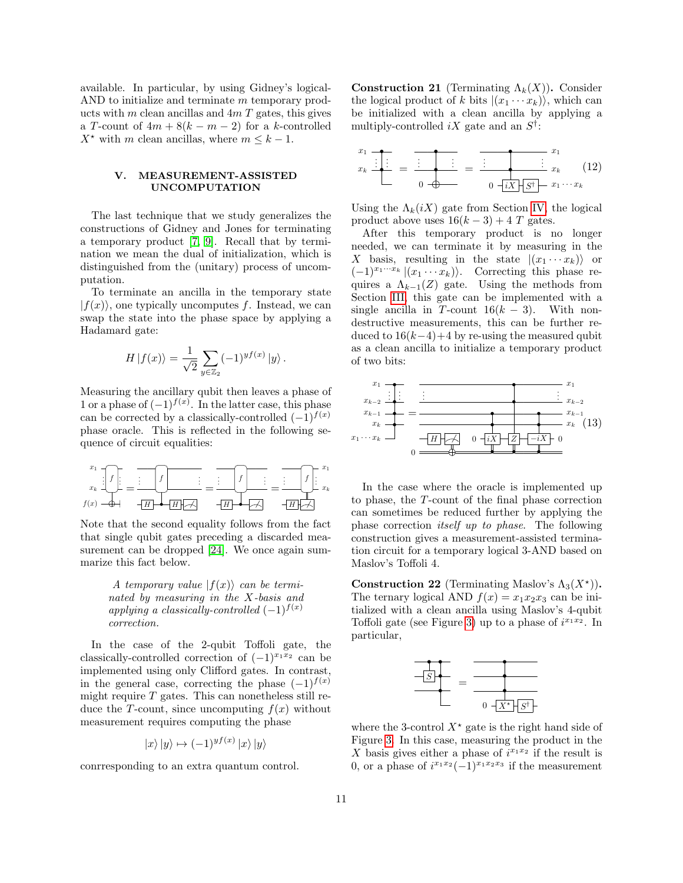available. In particular, by using Gidney's logical-AND to initialize and terminate m temporary products with m clean ancillas and  $4mT$  gates, this gives a T-count of  $4m + 8(k - m - 2)$  for a k-controlled  $X^*$  with m clean ancillas, where  $m \leq k - 1$ .

## V. MEASUREMENT-ASSISTED UNCOMPUTATION

The last technique that we study generalizes the constructions of Gidney and Jones for terminating a temporary product [\[7,](#page-11-6) [9\]](#page-11-8). Recall that by termination we mean the dual of initialization, which is distinguished from the (unitary) process of uncomputation.

To terminate an ancilla in the temporary state  $|f(x)\rangle$ , one typically uncomputes f. Instead, we can swap the state into the phase space by applying a Hadamard gate:

$$
H |f(x)\rangle = \frac{1}{\sqrt{2}} \sum_{y \in \mathbb{Z}_2} (-1)^{y f(x)} |y\rangle.
$$

Measuring the ancillary qubit then leaves a phase of 1 or a phase of  $(-1)^{f(x)}$ . In the latter case, this phase can be corrected by a classically-controlled  $(-1)^{f(x)}$ phase oracle. This is reflected in the following sequence of circuit equalities:

$$
\begin{array}{c}\n x_1 \\
x_k\n\end{array}\n\begin{bmatrix}\n f \\
f\n\end{bmatrix}\n=\n\begin{bmatrix}\n f \\
f\n\end{bmatrix}\n\begin{bmatrix}\n f \\
f \\
f\n\end{bmatrix}\n=\n\begin{bmatrix}\n f \\
f \\
f\n\end{bmatrix}\n\begin{bmatrix}\n x_1 \\
x_k\n\end{bmatrix}\n\begin{bmatrix}\n f \\
f \\
f\n\end{bmatrix}\n\begin{bmatrix}\n x_2 \\
x_k\n\end{bmatrix}\n\begin{bmatrix}\n f \\
f \\
f\n\end{bmatrix}\n\begin{bmatrix}\n x_1 \\
x_k\n\end{bmatrix}\n\begin{bmatrix}\n f \\
f \\
f\n\end{bmatrix}\n\begin{bmatrix}\n x_2 \\
x_k\n\end{bmatrix}\n\begin{bmatrix}\n f \\
f \\
f\n\end{bmatrix}\n\begin{bmatrix}\n x_1 \\
x_k\n\end{bmatrix}\n\begin{bmatrix}\n f \\
f \\
f\n\end{bmatrix}\n\begin{bmatrix}\n f \\
f \\
f\n\end{bmatrix}\n\begin{bmatrix}\n f \\
f \\
f\n\end{bmatrix}\n\begin{bmatrix}\n f \\
f \\
f\n\end{bmatrix}\n\begin{bmatrix}\n f \\
f \\
f\n\end{bmatrix}\n\begin{bmatrix}\n f \\
f \\
f\n\end{bmatrix}\n\begin{bmatrix}\n f \\
f \\
f\n\end{bmatrix}\n\end{bmatrix}
$$

Note that the second equality follows from the fact that single qubit gates preceding a discarded measurement can be dropped [\[24\]](#page-12-13). We once again summarize this fact below.

> A temporary value  $|f(x)\rangle$  can be terminated by measuring in the X-basis and applying a classically-controlled  $(-1)^{f(x)}$ correction.

In the case of the 2-qubit Toffoli gate, the classically-controlled correction of  $(-1)^{x_1x_2}$  can be implemented using only Clifford gates. In contrast, in the general case, correcting the phase  $(-1)^{f(x)}$ might require  $T$  gates. This can nonetheless still reduce the T-count, since uncomputing  $f(x)$  without measurement requires computing the phase

$$
|x\rangle|y\rangle \mapsto (-1)^{yf(x)}|x\rangle|y\rangle
$$

conrresponding to an extra quantum control.

**Construction 21** (Terminating  $\Lambda_k(X)$ ). Consider the logical product of k bits  $|(x_1 \cdots x_k)\rangle$ , which can be initialized with a clean ancilla by applying a multiply-controlled  $iX$  gate and an  $S^{\dagger}$ :

<span id="page-10-0"></span>
$$
\overline{x_1}
$$
\n
$$
\overline{x_k}
$$
\n
$$
\overline{\vdots}
$$
\n
$$
\overline{0}
$$
\n
$$
\overline{0}
$$
\n
$$
\overline{0}
$$
\n
$$
\overline{0}
$$
\n
$$
\overline{0}
$$
\n
$$
\overline{1}
$$
\n
$$
\overline{S^{\dagger}}
$$
\n
$$
x_k
$$
\n
$$
(12)
$$

Using the  $\Lambda_k(iX)$  gate from Section [IV,](#page-7-0) the logical product above uses  $16(k-3) + 4T$  gates.

After this temporary product is no longer needed, we can terminate it by measuring in the X basis, resulting in the state  $|(x_1 \cdots x_k)\rangle$  or  $(-1)^{x_1\cdots x_k}$   $|(x_1 \cdots x_k)\rangle$ . Correcting this phase requires a  $\Lambda_{k-1}(Z)$  gate. Using the methods from Section [III,](#page-4-2) this gate can be implemented with a single ancilla in T-count  $16(k - 3)$ . With nondestructive measurements, this can be further reduced to  $16(k-4)+4$  by re-using the measured qubit as a clean ancilla to initialize a temporary product of two bits:



<span id="page-10-1"></span>In the case where the oracle is implemented up to phase, the T-count of the final phase correction can sometimes be reduced further by applying the phase correction itself up to phase. The following construction gives a measurement-assisted termination circuit for a temporary logical 3-AND based on Maslov's Toffoli 4.

Construction 22 (Terminating Maslov's  $\Lambda_3(X^{\star})$ ). The ternary logical AND  $f(x) = x_1x_2x_3$  can be initialized with a clean ancilla using Maslov's 4-qubit Toffoli gate (see Figure [3\)](#page-5-0) up to a phase of  $i^{x_1x_2}$ . In particular,



where the 3-control  $X^*$  gate is the right hand side of Figure [3.](#page-5-0) In this case, measuring the product in the X basis gives either a phase of  $i^{x_1x_2}$  if the result is 0, or a phase of  $i^{x_1x_2}(-1)^{x_1x_2x_3}$  if the measurement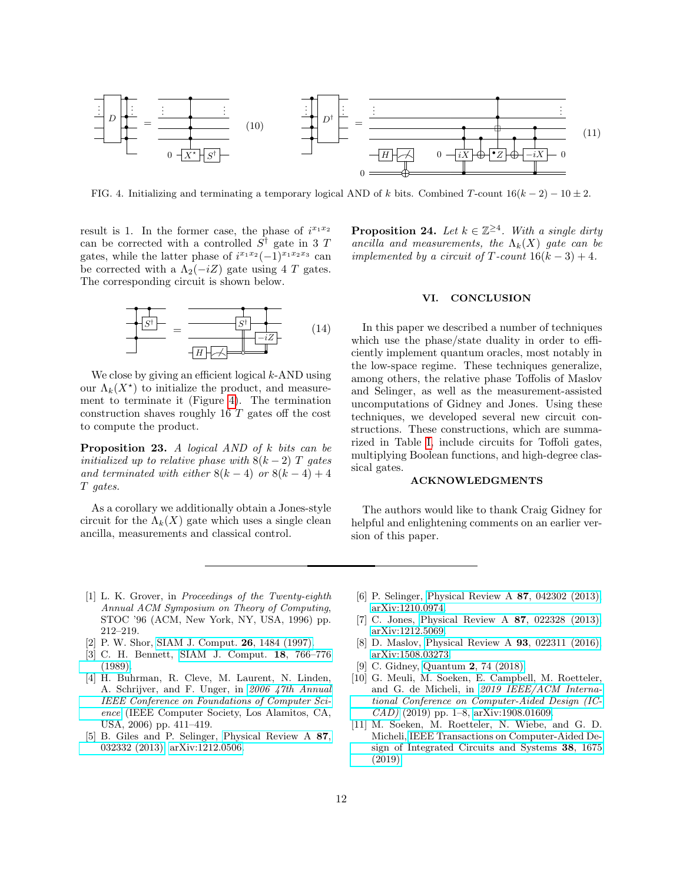

<span id="page-11-14"></span>FIG. 4. Initializing and terminating a temporary logical AND of k bits. Combined T-count  $16(k-2) - 10 \pm 2$ .

result is 1. In the former case, the phase of  $i^{x_1x_2}$ can be corrected with a controlled  $S^{\dagger}$  gate in 3 T gates, while the latter phase of  $i^{x_1x_2}(-1)^{x_1x_2x_3}$  can be corrected with a  $\Lambda_2(-iZ)$  gate using 4 T gates. The corresponding circuit is shown below.



We close by giving an efficient logical  $k$ -AND using our  $\Lambda_k(X^{\star})$  to initialize the product, and measurement to terminate it (Figure [4\)](#page-11-14). The termination construction shaves roughly 16 T gates off the cost to compute the product.

**Proposition 23.** A logical AND of  $k$  bits can be initialized up to relative phase with  $8(k-2)$  T gates and terminated with either  $8(k-4)$  or  $8(k-4)+4$ T gates.

As a corollary we additionally obtain a Jones-style circuit for the  $\Lambda_k(X)$  gate which uses a single clean ancilla, measurements and classical control.

<span id="page-11-10"></span>**Proposition 24.** Let  $k \in \mathbb{Z}^{\geq 4}$ . With a single dirty ancilla and measurements, the  $\Lambda_k(X)$  gate can be implemented by a circuit of T-count  $16(k-3) + 4$ .

## <span id="page-11-11"></span>VI. CONCLUSION

<span id="page-11-9"></span>In this paper we described a number of techniques which use the phase/state duality in order to efficiently implement quantum oracles, most notably in the low-space regime. These techniques generalize, among others, the relative phase Toffolis of Maslov and Selinger, as well as the measurement-assisted uncomputations of Gidney and Jones. Using these techniques, we developed several new circuit constructions. These constructions, which are summarized in Table [I,](#page-1-0) include circuits for Toffoli gates, multiplying Boolean functions, and high-degree classical gates.

### ACKNOWLEDGMENTS

The authors would like to thank Craig Gidney for helpful and enlightening comments on an earlier version of this paper.

- <span id="page-11-0"></span>[1] L. K. Grover, in Proceedings of the Twenty-eighth Annual ACM Symposium on Theory of Computing, STOC '96 (ACM, New York, NY, USA, 1996) pp. 212–219.
- <span id="page-11-1"></span>[2] P. W. Shor, [SIAM J. Comput.](https://doi.org/10.1137/S0097539795293172) 26, 1484 (1997).
- <span id="page-11-2"></span>[3] C. H. Bennett, [SIAM J. Comput.](https://doi.org/10.1137/0218053) 18, 766–776 [\(1989\).](https://doi.org/10.1137/0218053)
- <span id="page-11-3"></span>[4] H. Buhrman, R. Cleve, M. Laurent, N. Linden, A. Schrijver, and F. Unger, in [2006 47th Annual](https://doi.org/10.1109/FOCS.2006.50) [IEEE Conference on Foundations of Computer Sci](https://doi.org/10.1109/FOCS.2006.50)[ence](https://doi.org/10.1109/FOCS.2006.50) (IEEE Computer Society, Los Alamitos, CA, USA, 2006) pp. 411–419.
- <span id="page-11-4"></span>[5] B. Giles and P. Selinger, [Physical Review A](https://doi.org/10.1103/PhysRevA.87.032332) 87, [032332 \(2013\),](https://doi.org/10.1103/PhysRevA.87.032332) [arXiv:1212.0506.](https://arxiv.org/abs/1212.0506)
- <span id="page-11-5"></span>[6] P. Selinger, [Physical Review A](https://doi.org/10.1103/PhysRevA.87.042302) 87, 042302 (2013), [arXiv:1210.0974.](https://arxiv.org/abs/1210.0974)
- <span id="page-11-6"></span>[7] C. Jones, [Physical Review A](https://doi.org/10.1103/PhysRevA.87.022328) 87, 022328 (2013), [arXiv:1212.5069.](https://arxiv.org/abs/1212.5069)
- <span id="page-11-7"></span>[8] D. Maslov, [Physical Review A](https://doi.org/10.1103/PhysRevA.93.022311) 93, 022311 (2016), [arXiv:1508.03273.](https://arxiv.org/abs/1508.03273)
- <span id="page-11-8"></span>[9] C. Gidney, Quantum 2[, 74 \(2018\).](https://doi.org/10.22331/q-2018-06-18-74)
- <span id="page-11-12"></span>[10] G. Meuli, M. Soeken, E. Campbell, M. Roetteler, and G. de Micheli, in [2019 IEEE/ACM Interna](https://doi.org/10.1109/ICCAD45719.2019.8942093)[tional Conference on Computer-Aided Design \(IC-](https://doi.org/10.1109/ICCAD45719.2019.8942093)[CAD\)](https://doi.org/10.1109/ICCAD45719.2019.8942093) (2019) pp. 1–8, [arXiv:1908.01609.](https://arxiv.org/abs/1908.01609)
- <span id="page-11-13"></span>[11] M. Soeken, M. Roetteler, N. Wiebe, and G. D. Micheli, [IEEE Transactions on Computer-Aided De](https://doi.org/10.1109/TCAD.2018.2859251)[sign of Integrated Circuits and Systems](https://doi.org/10.1109/TCAD.2018.2859251) 38, 1675 [\(2019\).](https://doi.org/10.1109/TCAD.2018.2859251)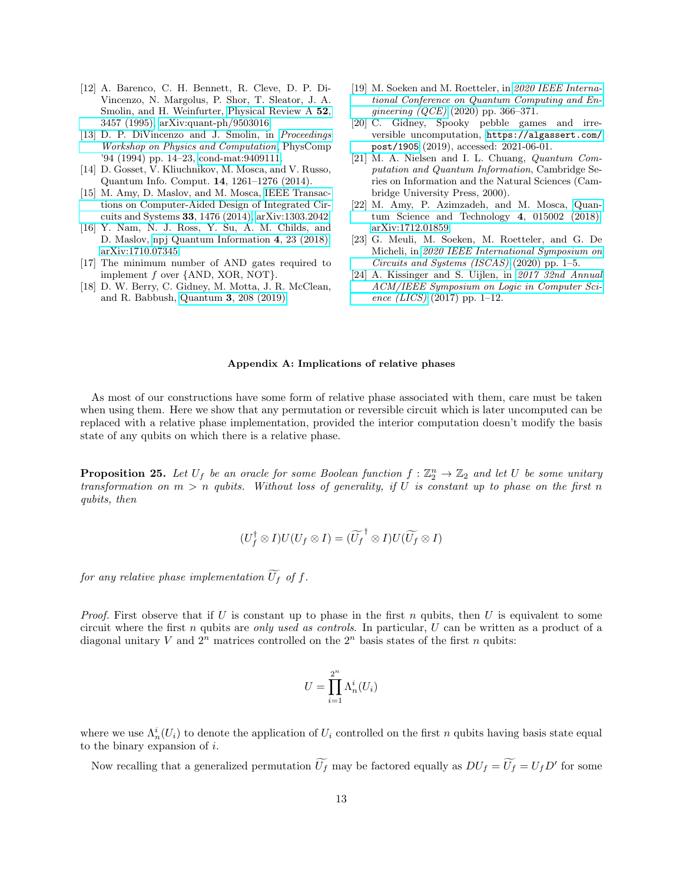- <span id="page-12-0"></span>[12] A. Barenco, C. H. Bennett, R. Cleve, D. P. Di-Vincenzo, N. Margolus, P. Shor, T. Sleator, J. A. Smolin, and H. Weinfurter, [Physical Review A](https://doi.org/10.1103/PhysRevA.52.3457) 52, [3457 \(1995\),](https://doi.org/10.1103/PhysRevA.52.3457) [arXiv:quant-ph/9503016.](https://arxiv.org/abs/quant-ph/9503016)
- <span id="page-12-2"></span>[13] D. P. DiVincenzo and J. Smolin, in [Proceedings](https://doi.org/10.1109/PHYCMP.1994.363704) [Workshop on Physics and Computation](https://doi.org/10.1109/PHYCMP.1994.363704), PhysComp '94 (1994) pp. 14–23, [cond-mat:9409111.](https://arxiv.org/abs/9409111)
- <span id="page-12-3"></span>[14] D. Gosset, V. Kliuchnikov, M. Mosca, and V. Russo, Quantum Info. Comput. 14, 1261–1276 (2014).
- <span id="page-12-4"></span>[15] M. Amy, D. Maslov, and M. Mosca, [IEEE Transac](https://doi.org/10.1109/TCAD.2014.2341953)[tions on Computer-Aided Design of Integrated Cir](https://doi.org/10.1109/TCAD.2014.2341953)[cuits and Systems](https://doi.org/10.1109/TCAD.2014.2341953) 33, 1476 (2014), [arXiv:1303.2042.](https://arxiv.org/abs/1303.2042)
- <span id="page-12-5"></span>[16] Y. Nam, N. J. Ross, Y. Su, A. M. Childs, and D. Maslov, [npj Quantum Information](https://doi.org/10.1038/s41534-018-0072-4) 4, 23 (2018), [arXiv:1710.07345.](https://arxiv.org/abs/1710.07345)
- <span id="page-12-6"></span>[17] The minimum number of AND gates required to implement f over {AND, XOR, NOT}.
- <span id="page-12-7"></span>[18] D. W. Berry, C. Gidney, M. Motta, J. R. McClean, and R. Babbush, Quantum 3[, 208 \(2019\).](https://doi.org/10.22331/q-2019-12-02-208)
- <span id="page-12-8"></span>[19] M. Soeken and M. Roetteler, in [2020 IEEE Interna](https://doi.org/10.1109/QCE49297.2020.00052)[tional Conference on Quantum Computing and En](https://doi.org/10.1109/QCE49297.2020.00052)[gineering \(QCE\)](https://doi.org/10.1109/QCE49297.2020.00052) (2020) pp. 366–371.
- <span id="page-12-9"></span>[20] C. Gidney, Spooky pebble games and irreversible uncomputation, [https://algassert.com/](https://algassert.com/post/1905) [post/1905](https://algassert.com/post/1905) (2019), accessed: 2021-06-01.
- <span id="page-12-10"></span>[21] M. A. Nielsen and I. L. Chuang, Quantum Computation and Quantum Information, Cambridge Series on Information and the Natural Sciences (Cambridge University Press, 2000).
- <span id="page-12-11"></span>[22] M. Amy, P. Azimzadeh, and M. Mosca, [Quan](https://doi.org/10.1088/2058-9565/aad8ca)[tum Science and Technology](https://doi.org/10.1088/2058-9565/aad8ca) 4, 015002 (2018), [arXiv:1712.01859.](https://arxiv.org/abs/1712.01859)
- <span id="page-12-12"></span>[23] G. Meuli, M. Soeken, M. Roetteler, and G. De Micheli, in [2020 IEEE International Symposium on](https://doi.org/10.1109/ISCAS45731.2020.9180792) [Circuits and Systems \(ISCAS\)](https://doi.org/10.1109/ISCAS45731.2020.9180792) (2020) pp. 1–5.
- <span id="page-12-13"></span>[24] A. Kissinger and S. Uijlen, in [2017 32nd Annual](https://doi.org/10.1109/LICS.2017.8005095) [ACM/IEEE Symposium on Logic in Computer Sci](https://doi.org/10.1109/LICS.2017.8005095)ence  $(LICS)$  (2017) pp. 1–12.

#### <span id="page-12-1"></span>Appendix A: Implications of relative phases

As most of our constructions have some form of relative phase associated with them, care must be taken when using them. Here we show that any permutation or reversible circuit which is later uncomputed can be replaced with a relative phase implementation, provided the interior computation doesn't modify the basis state of any qubits on which there is a relative phase.

**Proposition 25.** Let  $U_f$  be an oracle for some Boolean function  $f : \mathbb{Z}_2^n \to \mathbb{Z}_2$  and let U be some unitary transformation on  $m > n$  qubits. Without loss of generality, if U is constant up to phase on the first n qubits, then

$$
(U_f^{\dagger} \otimes I)U(U_f \otimes I) = (\widetilde{U_f}^{\dagger} \otimes I)U(\widetilde{U_f} \otimes I)
$$

for any relative phase implementation  $\widetilde{U}_f$  of f.

*Proof.* First observe that if U is constant up to phase in the first n qubits, then U is equivalent to some circuit where the first n qubits are only used as controls. In particular,  $U$  can be written as a product of a diagonal unitary V and  $2^n$  matrices controlled on the  $2^n$  basis states of the first n qubits:

$$
U = \prod_{i=1}^{2^n} \Lambda_n^i(U_i)
$$

where we use  $\Lambda_n^i(U_i)$  to denote the application of  $U_i$  controlled on the first n qubits having basis state equal to the binary expansion of  $i$ .

Now recalling that a generalized permutation  $\widetilde{U}_f$  may be factored equally as  $DU_f = \widetilde{U}_f = U_f D'$  for some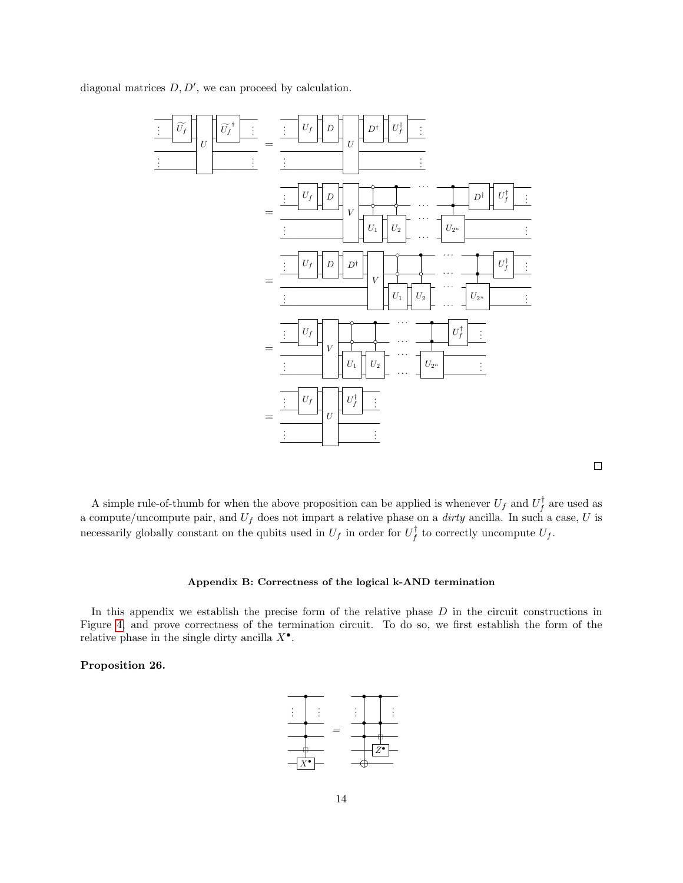diagonal matrices  $D, D'$ , we can proceed by calculation.



 $\Box$ 

A simple rule-of-thumb for when the above proposition can be applied is whenever  $U_f$  and  $U_f^{\dagger}$  are used as a compute/uncompute pair, and  $U_f$  does not impart a relative phase on a *dirty* ancilla. In such a case, U is necessarily globally constant on the qubits used in  $U_f$  in order for  $U_f^{\dagger}$  to correctly uncompute  $U_f$ .

# <span id="page-13-0"></span>Appendix B: Correctness of the logical k-AND termination

In this appendix we establish the precise form of the relative phase  $D$  in the circuit constructions in Figure [4,](#page-11-14) and prove correctness of the termination circuit. To do so, we first establish the form of the relative phase in the single dirty ancilla  $X^{\bullet}$ .

# Proposition 26.

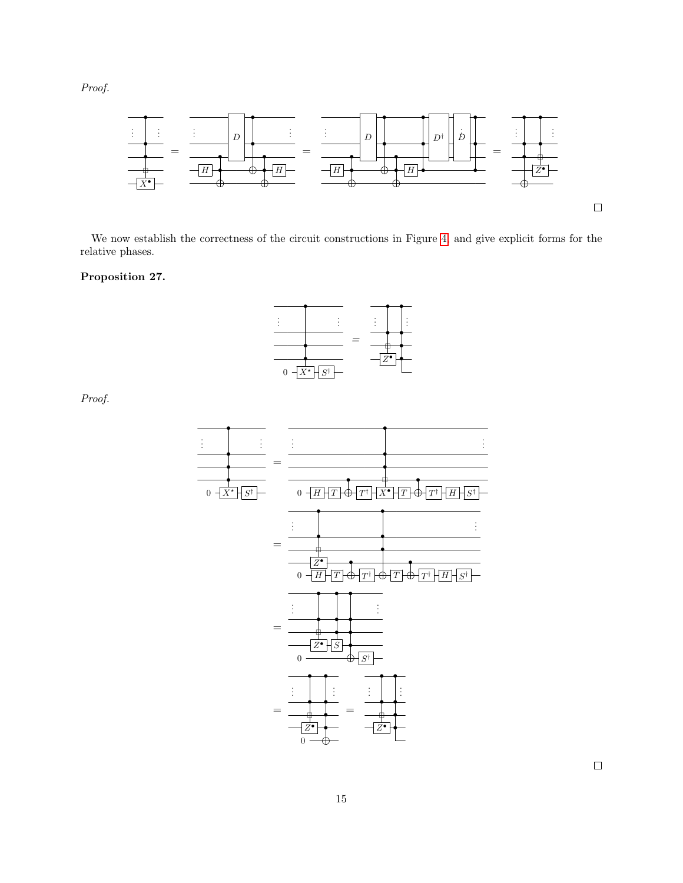Proof.



We now establish the correctness of the circuit constructions in Figure [4,](#page-11-14) and give explicit forms for the relative phases.

# Proposition 27.



Proof.



 $\Box$